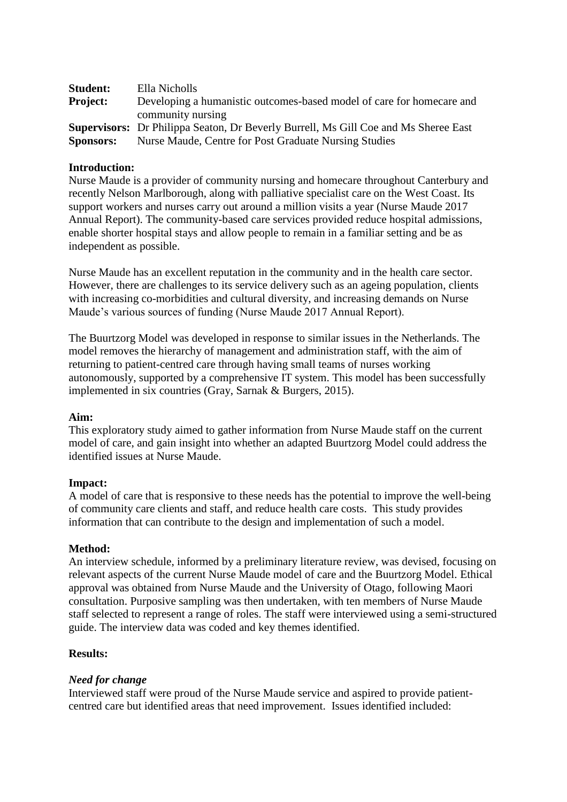| <b>Student:</b>  | Ella Nicholls                                                                              |
|------------------|--------------------------------------------------------------------------------------------|
| <b>Project:</b>  | Developing a humanistic outcomes-based model of care for homecare and                      |
|                  | community nursing                                                                          |
|                  | <b>Supervisors:</b> Dr Philippa Seaton, Dr Beverly Burrell, Ms Gill Coe and Ms Sheree East |
| <b>Sponsors:</b> | Nurse Maude, Centre for Post Graduate Nursing Studies                                      |

## **Introduction:**

Nurse Maude is a provider of community nursing and homecare throughout Canterbury and recently Nelson Marlborough, along with palliative specialist care on the West Coast. Its support workers and nurses carry out around a million visits a year (Nurse Maude 2017 Annual Report). The community-based care services provided reduce hospital admissions, enable shorter hospital stays and allow people to remain in a familiar setting and be as independent as possible.

Nurse Maude has an excellent reputation in the community and in the health care sector. However, there are challenges to its service delivery such as an ageing population, clients with increasing co-morbidities and cultural diversity, and increasing demands on Nurse Maude's various sources of funding (Nurse Maude 2017 Annual Report).

The Buurtzorg Model was developed in response to similar issues in the Netherlands. The model removes the hierarchy of management and administration staff, with the aim of returning to patient-centred care through having small teams of nurses working autonomously, supported by a comprehensive IT system. This model has been successfully implemented in six countries (Gray, Sarnak & Burgers, 2015).

### **Aim:**

This exploratory study aimed to gather information from Nurse Maude staff on the current model of care, and gain insight into whether an adapted Buurtzorg Model could address the identified issues at Nurse Maude.

# **Impact:**

A model of care that is responsive to these needs has the potential to improve the well-being of community care clients and staff, and reduce health care costs. This study provides information that can contribute to the design and implementation of such a model.

### **Method:**

An interview schedule, informed by a preliminary literature review, was devised, focusing on relevant aspects of the current Nurse Maude model of care and the Buurtzorg Model. Ethical approval was obtained from Nurse Maude and the University of Otago, following Maori consultation. Purposive sampling was then undertaken, with ten members of Nurse Maude staff selected to represent a range of roles. The staff were interviewed using a semi-structured guide. The interview data was coded and key themes identified.

### **Results:**

# *Need for change*

Interviewed staff were proud of the Nurse Maude service and aspired to provide patientcentred care but identified areas that need improvement. Issues identified included: